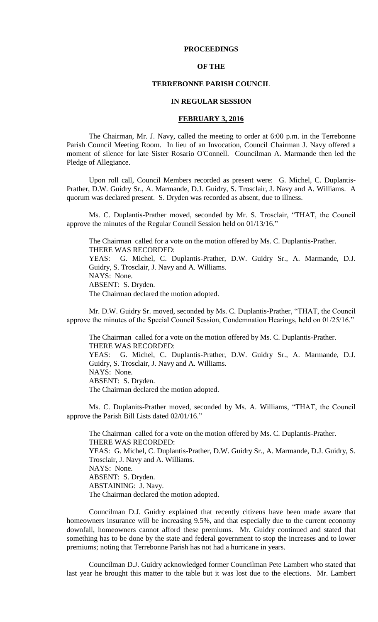## **PROCEEDINGS**

## **OF THE**

# **TERREBONNE PARISH COUNCIL**

### **IN REGULAR SESSION**

## **FEBRUARY 3, 2016**

The Chairman, Mr. J. Navy, called the meeting to order at 6:00 p.m. in the Terrebonne Parish Council Meeting Room. In lieu of an Invocation, Council Chairman J. Navy offered a moment of silence for late Sister Rosario O'Connell. Councilman A. Marmande then led the Pledge of Allegiance.

Upon roll call, Council Members recorded as present were: G. Michel, C. Duplantis-Prather, D.W. Guidry Sr., A. Marmande, D.J. Guidry, S. Trosclair, J. Navy and A. Williams. A quorum was declared present. S. Dryden was recorded as absent, due to illness.

Ms. C. Duplantis-Prather moved, seconded by Mr. S. Trosclair, "THAT, the Council approve the minutes of the Regular Council Session held on 01/13/16."

The Chairman called for a vote on the motion offered by Ms. C. Duplantis-Prather. THERE WAS RECORDED: YEAS: G. Michel, C. Duplantis-Prather, D.W. Guidry Sr., A. Marmande, D.J. Guidry, S. Trosclair, J. Navy and A. Williams. NAYS: None. ABSENT: S. Dryden. The Chairman declared the motion adopted.

Mr. D.W. Guidry Sr. moved, seconded by Ms. C. Duplantis-Prather, "THAT, the Council approve the minutes of the Special Council Session, Condemnation Hearings, held on 01/25/16."

The Chairman called for a vote on the motion offered by Ms. C. Duplantis-Prather. THERE WAS RECORDED: YEAS: G. Michel, C. Duplantis-Prather, D.W. Guidry Sr., A. Marmande, D.J. Guidry, S. Trosclair, J. Navy and A. Williams. NAYS: None. ABSENT: S. Dryden. The Chairman declared the motion adopted.

Ms. C. Duplanits-Prather moved, seconded by Ms. A. Williams, "THAT, the Council approve the Parish Bill Lists dated 02/01/16."

The Chairman called for a vote on the motion offered by Ms. C. Duplantis-Prather. THERE WAS RECORDED: YEAS: G. Michel, C. Duplantis-Prather, D.W. Guidry Sr., A. Marmande, D.J. Guidry, S. Trosclair, J. Navy and A. Williams. NAYS: None. ABSENT: S. Dryden. ABSTAINING: J. Navy. The Chairman declared the motion adopted.

Councilman D.J. Guidry explained that recently citizens have been made aware that homeowners insurance will be increasing 9.5%, and that especially due to the current economy downfall, homeowners cannot afford these premiums. Mr. Guidry continued and stated that something has to be done by the state and federal government to stop the increases and to lower premiums; noting that Terrebonne Parish has not had a hurricane in years.

Councilman D.J. Guidry acknowledged former Councilman Pete Lambert who stated that last year he brought this matter to the table but it was lost due to the elections. Mr. Lambert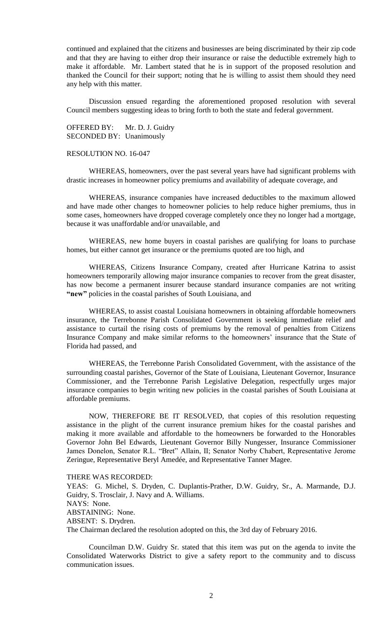continued and explained that the citizens and businesses are being discriminated by their zip code and that they are having to either drop their insurance or raise the deductible extremely high to make it affordable. Mr. Lambert stated that he is in support of the proposed resolution and thanked the Council for their support; noting that he is willing to assist them should they need any help with this matter.

Discussion ensued regarding the aforementioned proposed resolution with several Council members suggesting ideas to bring forth to both the state and federal government.

OFFERED BY: Mr. D. J. Guidry SECONDED BY: Unanimously

# RESOLUTION NO. 16-047

WHEREAS, homeowners, over the past several years have had significant problems with drastic increases in homeowner policy premiums and availability of adequate coverage, and

WHEREAS, insurance companies have increased deductibles to the maximum allowed and have made other changes to homeowner policies to help reduce higher premiums, thus in some cases, homeowners have dropped coverage completely once they no longer had a mortgage, because it was unaffordable and/or unavailable, and

WHEREAS, new home buyers in coastal parishes are qualifying for loans to purchase homes, but either cannot get insurance or the premiums quoted are too high, and

WHEREAS, Citizens Insurance Company, created after Hurricane Katrina to assist homeowners temporarily allowing major insurance companies to recover from the great disaster, has now become a permanent insurer because standard insurance companies are not writing **"new"** policies in the coastal parishes of South Louisiana, and

WHEREAS, to assist coastal Louisiana homeowners in obtaining affordable homeowners insurance, the Terrebonne Parish Consolidated Government is seeking immediate relief and assistance to curtail the rising costs of premiums by the removal of penalties from Citizens Insurance Company and make similar reforms to the homeowners' insurance that the State of Florida had passed, and

WHEREAS, the Terrebonne Parish Consolidated Government, with the assistance of the surrounding coastal parishes, Governor of the State of Louisiana, Lieutenant Governor, Insurance Commissioner, and the Terrebonne Parish Legislative Delegation, respectfully urges major insurance companies to begin writing new policies in the coastal parishes of South Louisiana at affordable premiums.

NOW, THEREFORE BE IT RESOLVED, that copies of this resolution requesting assistance in the plight of the current insurance premium hikes for the coastal parishes and making it more available and affordable to the homeowners be forwarded to the Honorables Governor John Bel Edwards, Lieutenant Governor Billy Nungesser, Insurance Commissioner James Donelon, Senator R.L. "Bret" Allain, II; Senator Norby Chabert, Representative Jerome Zeringue, Representative Beryl Amedée, and Representative Tanner Magee.

THERE WAS RECORDED:

YEAS: G. Michel, S. Dryden, C. Duplantis-Prather, D.W. Guidry, Sr., A. Marmande, D.J. Guidry, S. Trosclair, J. Navy and A. Williams. NAYS: None. ABSTAINING: None. ABSENT: S. Drydren. The Chairman declared the resolution adopted on this, the 3rd day of February 2016.

Councilman D.W. Guidry Sr. stated that this item was put on the agenda to invite the Consolidated Waterworks District to give a safety report to the community and to discuss communication issues.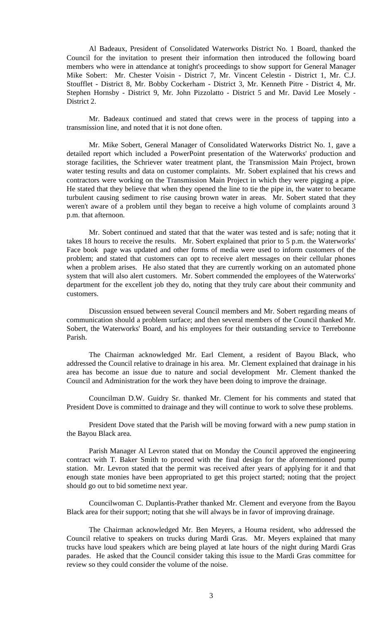Al Badeaux, President of Consolidated Waterworks District No. 1 Board, thanked the Council for the invitation to present their information then introduced the following board members who were in attendance at tonight's proceedings to show support for General Manager Mike Sobert: Mr. Chester Voisin - District 7, Mr. Vincent Celestin - District 1, Mr. C.J. Stoufflet - District 8, Mr. Bobby Cockerham - District 3, Mr. Kenneth Pitre - District 4, Mr. Stephen Hornsby - District 9, Mr. John Pizzolatto - District 5 and Mr. David Lee Mosely - District 2.

Mr. Badeaux continued and stated that crews were in the process of tapping into a transmission line, and noted that it is not done often.

Mr. Mike Sobert, General Manager of Consolidated Waterworks District No. 1, gave a detailed report which included a PowerPoint presentation of the Waterworks' production and storage facilities, the Schriever water treatment plant, the Transmission Main Project, brown water testing results and data on customer complaints. Mr. Sobert explained that his crews and contractors were working on the Transmission Main Project in which they were pigging a pipe. He stated that they believe that when they opened the line to tie the pipe in, the water to became turbulent causing sediment to rise causing brown water in areas. Mr. Sobert stated that they weren't aware of a problem until they began to receive a high volume of complaints around 3 p.m. that afternoon.

Mr. Sobert continued and stated that that the water was tested and is safe; noting that it takes 18 hours to receive the results. Mr. Sobert explained that prior to 5 p.m. the Waterworks' Face book page was updated and other forms of media were used to inform customers of the problem; and stated that customers can opt to receive alert messages on their cellular phones when a problem arises. He also stated that they are currently working on an automated phone system that will also alert customers. Mr. Sobert commended the employees of the Waterworks' department for the excellent job they do, noting that they truly care about their community and customers.

Discussion ensued between several Council members and Mr. Sobert regarding means of communication should a problem surface; and then several members of the Council thanked Mr. Sobert, the Waterworks' Board, and his employees for their outstanding service to Terrebonne Parish.

The Chairman acknowledged Mr. Earl Clement, a resident of Bayou Black, who addressed the Council relative to drainage in his area. Mr. Clement explained that drainage in his area has become an issue due to nature and social development Mr. Clement thanked the Council and Administration for the work they have been doing to improve the drainage.

Councilman D.W. Guidry Sr. thanked Mr. Clement for his comments and stated that President Dove is committed to drainage and they will continue to work to solve these problems.

President Dove stated that the Parish will be moving forward with a new pump station in the Bayou Black area.

Parish Manager Al Levron stated that on Monday the Council approved the engineering contract with T. Baker Smith to proceed with the final design for the aforementioned pump station. Mr. Levron stated that the permit was received after years of applying for it and that enough state monies have been appropriated to get this project started; noting that the project should go out to bid sometime next year.

Councilwoman C. Duplantis-Prather thanked Mr. Clement and everyone from the Bayou Black area for their support; noting that she will always be in favor of improving drainage.

The Chairman acknowledged Mr. Ben Meyers, a Houma resident, who addressed the Council relative to speakers on trucks during Mardi Gras. Mr. Meyers explained that many trucks have loud speakers which are being played at late hours of the night during Mardi Gras parades. He asked that the Council consider taking this issue to the Mardi Gras committee for review so they could consider the volume of the noise.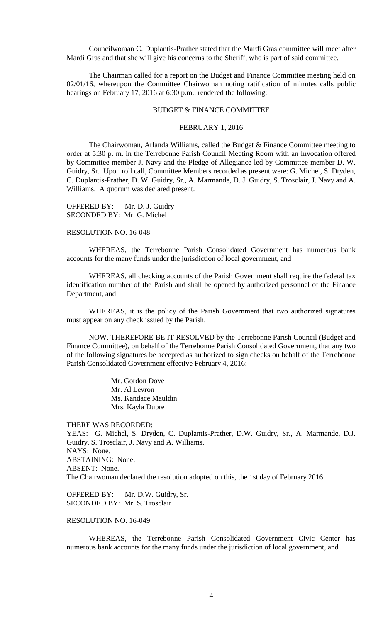Councilwoman C. Duplantis-Prather stated that the Mardi Gras committee will meet after Mardi Gras and that she will give his concerns to the Sheriff, who is part of said committee.

The Chairman called for a report on the Budget and Finance Committee meeting held on 02/01/16, whereupon the Committee Chairwoman noting ratification of minutes calls public hearings on February 17, 2016 at 6:30 p.m., rendered the following:

### BUDGET & FINANCE COMMITTEE

### FEBRUARY 1, 2016

The Chairwoman, Arlanda Williams, called the Budget & Finance Committee meeting to order at 5:30 p. m. in the Terrebonne Parish Council Meeting Room with an Invocation offered by Committee member J. Navy and the Pledge of Allegiance led by Committee member D. W. Guidry, Sr. Upon roll call, Committee Members recorded as present were: G. Michel, S. Dryden, C. Duplantis-Prather, D. W. Guidry, Sr., A. Marmande, D. J. Guidry, S. Trosclair, J. Navy and A. Williams. A quorum was declared present.

OFFERED BY: Mr. D. J. Guidry SECONDED BY: Mr. G. Michel

## RESOLUTION NO. 16-048

WHEREAS, the Terrebonne Parish Consolidated Government has numerous bank accounts for the many funds under the jurisdiction of local government, and

WHEREAS, all checking accounts of the Parish Government shall require the federal tax identification number of the Parish and shall be opened by authorized personnel of the Finance Department, and

WHEREAS, it is the policy of the Parish Government that two authorized signatures must appear on any check issued by the Parish.

NOW, THEREFORE BE IT RESOLVED by the Terrebonne Parish Council (Budget and Finance Committee), on behalf of the Terrebonne Parish Consolidated Government, that any two of the following signatures be accepted as authorized to sign checks on behalf of the Terrebonne Parish Consolidated Government effective February 4, 2016:

> Mr. Gordon Dove Mr. Al Levron Ms. Kandace Mauldin Mrs. Kayla Dupre

THERE WAS RECORDED:

YEAS: G. Michel, S. Dryden, C. Duplantis-Prather, D.W. Guidry, Sr., A. Marmande, D.J. Guidry, S. Trosclair, J. Navy and A. Williams. NAYS: None. ABSTAINING: None. ABSENT: None. The Chairwoman declared the resolution adopted on this, the 1st day of February 2016.

OFFERED BY: Mr. D.W. Guidry, Sr. SECONDED BY: Mr. S. Trosclair

# RESOLUTION NO. 16-049

WHEREAS, the Terrebonne Parish Consolidated Government Civic Center has numerous bank accounts for the many funds under the jurisdiction of local government, and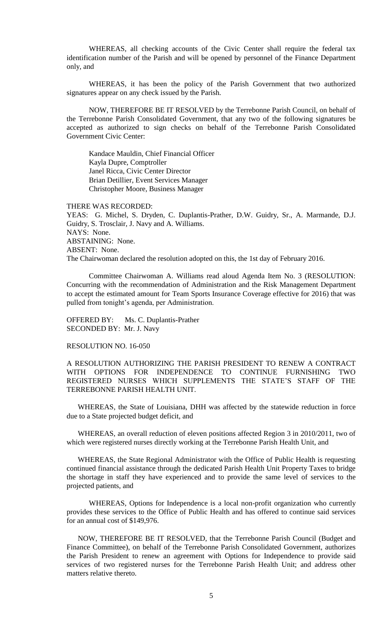WHEREAS, all checking accounts of the Civic Center shall require the federal tax identification number of the Parish and will be opened by personnel of the Finance Department only, and

WHEREAS, it has been the policy of the Parish Government that two authorized signatures appear on any check issued by the Parish.

NOW, THEREFORE BE IT RESOLVED by the Terrebonne Parish Council, on behalf of the Terrebonne Parish Consolidated Government, that any two of the following signatures be accepted as authorized to sign checks on behalf of the Terrebonne Parish Consolidated Government Civic Center:

Kandace Mauldin, Chief Financial Officer Kayla Dupre, Comptroller Janel Ricca, Civic Center Director Brian Detillier, Event Services Manager Christopher Moore, Business Manager

THERE WAS RECORDED:

YEAS: G. Michel, S. Dryden, C. Duplantis-Prather, D.W. Guidry, Sr., A. Marmande, D.J. Guidry, S. Trosclair, J. Navy and A. Williams. NAYS: None. ABSTAINING: None. ABSENT: None. The Chairwoman declared the resolution adopted on this, the 1st day of February 2016.

Committee Chairwoman A. Williams read aloud Agenda Item No. 3 (RESOLUTION: Concurring with the recommendation of Administration and the Risk Management Department to accept the estimated amount for Team Sports Insurance Coverage effective for 2016) that was pulled from tonight's agenda, per Administration.

OFFERED BY: Ms. C. Duplantis-Prather SECONDED BY: Mr. J. Navy

RESOLUTION NO. 16-050

A RESOLUTION AUTHORIZING THE PARISH PRESIDENT TO RENEW A CONTRACT WITH OPTIONS FOR INDEPENDENCE TO CONTINUE FURNISHING TWO REGISTERED NURSES WHICH SUPPLEMENTS THE STATE'S STAFF OF THE TERREBONNE PARISH HEALTH UNIT.

WHEREAS, the State of Louisiana, DHH was affected by the statewide reduction in force due to a State projected budget deficit, and

WHEREAS, an overall reduction of eleven positions affected Region 3 in 2010/2011, two of which were registered nurses directly working at the Terrebonne Parish Health Unit, and

WHEREAS, the State Regional Administrator with the Office of Public Health is requesting continued financial assistance through the dedicated Parish Health Unit Property Taxes to bridge the shortage in staff they have experienced and to provide the same level of services to the projected patients, and

WHEREAS, Options for Independence is a local non-profit organization who currently provides these services to the Office of Public Health and has offered to continue said services for an annual cost of \$149,976.

NOW, THEREFORE BE IT RESOLVED, that the Terrebonne Parish Council (Budget and Finance Committee), on behalf of the Terrebonne Parish Consolidated Government, authorizes the Parish President to renew an agreement with Options for Independence to provide said services of two registered nurses for the Terrebonne Parish Health Unit; and address other matters relative thereto.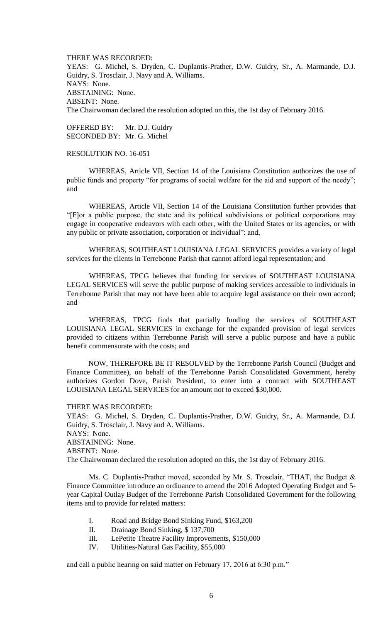THERE WAS RECORDED: YEAS: G. Michel, S. Dryden, C. Duplantis-Prather, D.W. Guidry, Sr., A. Marmande, D.J. Guidry, S. Trosclair, J. Navy and A. Williams. NAYS: None. ABSTAINING: None. ABSENT: None. The Chairwoman declared the resolution adopted on this, the 1st day of February 2016.

OFFERED BY: Mr. D.J. Guidry SECONDED BY: Mr. G. Michel

## RESOLUTION NO. 16-051

WHEREAS, Article VII, Section 14 of the Louisiana Constitution authorizes the use of public funds and property "for programs of social welfare for the aid and support of the needy"; and

WHEREAS, Article VII, Section 14 of the Louisiana Constitution further provides that "[F]or a public purpose, the state and its political subdivisions or political corporations may engage in cooperative endeavors with each other, with the United States or its agencies, or with any public or private association, corporation or individual"; and,

WHEREAS, SOUTHEAST LOUISIANA LEGAL SERVICES provides a variety of legal services for the clients in Terrebonne Parish that cannot afford legal representation; and

WHEREAS, TPCG believes that funding for services of SOUTHEAST LOUISIANA LEGAL SERVICES will serve the public purpose of making services accessible to individuals in Terrebonne Parish that may not have been able to acquire legal assistance on their own accord; and

WHEREAS, TPCG finds that partially funding the services of SOUTHEAST LOUISIANA LEGAL SERVICES in exchange for the expanded provision of legal services provided to citizens within Terrebonne Parish will serve a public purpose and have a public benefit commensurate with the costs; and

NOW, THEREFORE BE IT RESOLVED by the Terrebonne Parish Council (Budget and Finance Committee), on behalf of the Terrebonne Parish Consolidated Government, hereby authorizes Gordon Dove, Parish President, to enter into a contract with SOUTHEAST LOUISIANA LEGAL SERVICES for an amount not to exceed \$30,000.

#### THERE WAS RECORDED:

YEAS: G. Michel, S. Dryden, C. Duplantis-Prather, D.W. Guidry, Sr., A. Marmande, D.J. Guidry, S. Trosclair, J. Navy and A. Williams.

NAYS: None.

ABSTAINING: None.

ABSENT: None.

The Chairwoman declared the resolution adopted on this, the 1st day of February 2016.

Ms. C. Duplantis-Prather moved, seconded by Mr. S. Trosclair, "THAT, the Budget & Finance Committee introduce an ordinance to amend the 2016 Adopted Operating Budget and 5 year Capital Outlay Budget of the Terrebonne Parish Consolidated Government for the following items and to provide for related matters:

- I. Road and Bridge Bond Sinking Fund, \$163,200
- II. Drainage Bond Sinking, \$ 137,700
- III. LePetite Theatre Facility Improvements, \$150,000
- IV. Utilities-Natural Gas Facility, \$55,000

and call a public hearing on said matter on February 17, 2016 at 6:30 p.m."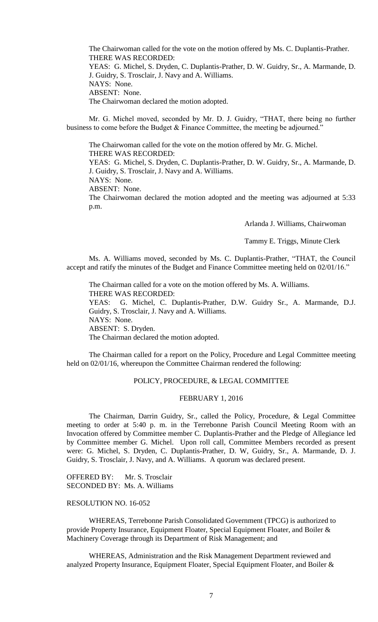The Chairwoman called for the vote on the motion offered by Ms. C. Duplantis-Prather. THERE WAS RECORDED: YEAS: G. Michel, S. Dryden, C. Duplantis-Prather, D. W. Guidry, Sr., A. Marmande, D. J. Guidry, S. Trosclair, J. Navy and A. Williams. NAYS: None. ABSENT: None. The Chairwoman declared the motion adopted.

Mr. G. Michel moved, seconded by Mr. D. J. Guidry, "THAT, there being no further business to come before the Budget & Finance Committee, the meeting be adjourned."

The Chairwoman called for the vote on the motion offered by Mr. G. Michel. THERE WAS RECORDED: YEAS: G. Michel, S. Dryden, C. Duplantis-Prather, D. W. Guidry, Sr., A. Marmande, D. J. Guidry, S. Trosclair, J. Navy and A. Williams. NAYS: None. ABSENT: None.

The Chairwoman declared the motion adopted and the meeting was adjourned at 5:33 p.m.

Arlanda J. Williams, Chairwoman

Tammy E. Triggs, Minute Clerk

Ms. A. Williams moved, seconded by Ms. C. Duplantis-Prather, "THAT, the Council accept and ratify the minutes of the Budget and Finance Committee meeting held on 02/01/16."

The Chairman called for a vote on the motion offered by Ms. A. Williams. THERE WAS RECORDED: YEAS: G. Michel, C. Duplantis-Prather, D.W. Guidry Sr., A. Marmande, D.J. Guidry, S. Trosclair, J. Navy and A. Williams. NAYS: None. ABSENT: S. Dryden. The Chairman declared the motion adopted.

The Chairman called for a report on the Policy, Procedure and Legal Committee meeting held on 02/01/16, whereupon the Committee Chairman rendered the following:

# POLICY, PROCEDURE, & LEGAL COMMITTEE

## FEBRUARY 1, 2016

The Chairman, Darrin Guidry, Sr., called the Policy, Procedure, & Legal Committee meeting to order at 5:40 p. m. in the Terrebonne Parish Council Meeting Room with an Invocation offered by Committee member C. Duplantis-Prather and the Pledge of Allegiance led by Committee member G. Michel. Upon roll call, Committee Members recorded as present were: G. Michel, S. Dryden, C. Duplantis-Prather, D. W, Guidry, Sr., A. Marmande, D. J. Guidry, S. Trosclair, J. Navy, and A. Williams. A quorum was declared present.

OFFERED BY: Mr. S. Trosclair SECONDED BY: Ms. A. Williams

# RESOLUTION NO. 16-052

WHEREAS, Terrebonne Parish Consolidated Government (TPCG) is authorized to provide Property Insurance, Equipment Floater, Special Equipment Floater, and Boiler & Machinery Coverage through its Department of Risk Management; and

WHEREAS, Administration and the Risk Management Department reviewed and analyzed Property Insurance, Equipment Floater, Special Equipment Floater, and Boiler &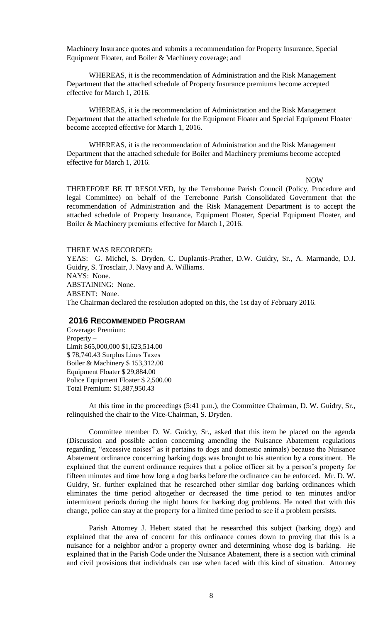Machinery Insurance quotes and submits a recommendation for Property Insurance, Special Equipment Floater, and Boiler & Machinery coverage; and

WHEREAS, it is the recommendation of Administration and the Risk Management Department that the attached schedule of Property Insurance premiums become accepted effective for March 1, 2016.

WHEREAS, it is the recommendation of Administration and the Risk Management Department that the attached schedule for the Equipment Floater and Special Equipment Floater become accepted effective for March 1, 2016.

WHEREAS, it is the recommendation of Administration and the Risk Management Department that the attached schedule for Boiler and Machinery premiums become accepted effective for March 1, 2016.

NOW

THEREFORE BE IT RESOLVED, by the Terrebonne Parish Council (Policy, Procedure and legal Committee) on behalf of the Terrebonne Parish Consolidated Government that the recommendation of Administration and the Risk Management Department is to accept the attached schedule of Property Insurance, Equipment Floater, Special Equipment Floater, and Boiler & Machinery premiums effective for March 1, 2016.

### THERE WAS RECORDED:

YEAS: G. Michel, S. Dryden, C. Duplantis-Prather, D.W. Guidry, Sr., A. Marmande, D.J. Guidry, S. Trosclair, J. Navy and A. Williams. NAYS: None. ABSTAINING: None. ABSENT: None. The Chairman declared the resolution adopted on this, the 1st day of February 2016.

## **2016 RECOMMENDED PROGRAM**

Coverage: Premium: Property – Limit \$65,000,000 \$1,623,514.00 \$ 78,740.43 Surplus Lines Taxes Boiler & Machinery \$ 153,312.00 Equipment Floater \$ 29,884.00 Police Equipment Floater \$ 2,500.00 Total Premium: \$1,887,950.43

At this time in the proceedings (5:41 p.m.), the Committee Chairman, D. W. Guidry, Sr., relinquished the chair to the Vice-Chairman, S. Dryden.

Committee member D. W. Guidry, Sr., asked that this item be placed on the agenda (Discussion and possible action concerning amending the Nuisance Abatement regulations regarding, "excessive noises" as it pertains to dogs and domestic animals) because the Nuisance Abatement ordinance concerning barking dogs was brought to his attention by a constituent. He explained that the current ordinance requires that a police officer sit by a person's property for fifteen minutes and time how long a dog barks before the ordinance can be enforced. Mr. D. W. Guidry, Sr. further explained that he researched other similar dog barking ordinances which eliminates the time period altogether or decreased the time period to ten minutes and/or intermittent periods during the night hours for barking dog problems. He noted that with this change, police can stay at the property for a limited time period to see if a problem persists.

Parish Attorney J. Hebert stated that he researched this subject (barking dogs) and explained that the area of concern for this ordinance comes down to proving that this is a nuisance for a neighbor and/or a property owner and determining whose dog is barking. He explained that in the Parish Code under the Nuisance Abatement, there is a section with criminal and civil provisions that individuals can use when faced with this kind of situation. Attorney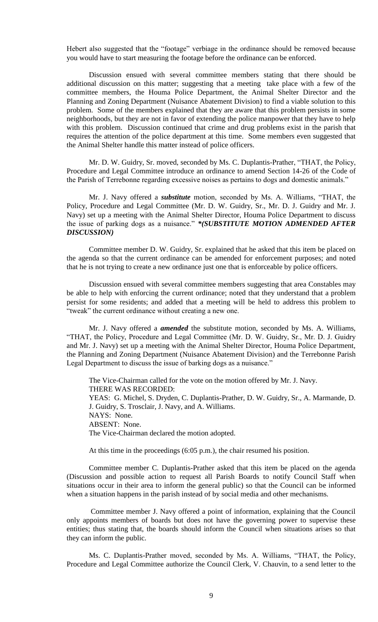Hebert also suggested that the "footage" verbiage in the ordinance should be removed because you would have to start measuring the footage before the ordinance can be enforced.

Discussion ensued with several committee members stating that there should be additional discussion on this matter; suggesting that a meeting take place with a few of the committee members, the Houma Police Department, the Animal Shelter Director and the Planning and Zoning Department (Nuisance Abatement Division) to find a viable solution to this problem. Some of the members explained that they are aware that this problem persists in some neighborhoods, but they are not in favor of extending the police manpower that they have to help with this problem. Discussion continued that crime and drug problems exist in the parish that requires the attention of the police department at this time. Some members even suggested that the Animal Shelter handle this matter instead of police officers.

Mr. D. W. Guidry, Sr. moved, seconded by Ms. C. Duplantis-Prather, "THAT, the Policy, Procedure and Legal Committee introduce an ordinance to amend Section 14-26 of the Code of the Parish of Terrebonne regarding excessive noises as pertains to dogs and domestic animals."

Mr. J. Navy offered a *substitute* motion, seconded by Ms. A. Williams, "THAT, the Policy, Procedure and Legal Committee (Mr. D. W. Guidry, Sr., Mr. D. J. Guidry and Mr. J. Navy) set up a meeting with the Animal Shelter Director, Houma Police Department to discuss the issue of parking dogs as a nuisance." *\*(SUBSTITUTE MOTION ADMENDED AFTER DISCUSSION)*

Committee member D. W. Guidry, Sr. explained that he asked that this item be placed on the agenda so that the current ordinance can be amended for enforcement purposes; and noted that he is not trying to create a new ordinance just one that is enforceable by police officers.

Discussion ensued with several committee members suggesting that area Constables may be able to help with enforcing the current ordinance; noted that they understand that a problem persist for some residents; and added that a meeting will be held to address this problem to "tweak" the current ordinance without creating a new one.

Mr. J. Navy offered a *amended* the substitute motion, seconded by Ms. A. Williams, "THAT, the Policy, Procedure and Legal Committee (Mr. D. W. Guidry, Sr., Mr. D. J. Guidry and Mr. J. Navy) set up a meeting with the Animal Shelter Director, Houma Police Department, the Planning and Zoning Department (Nuisance Abatement Division) and the Terrebonne Parish Legal Department to discuss the issue of barking dogs as a nuisance."

The Vice-Chairman called for the vote on the motion offered by Mr. J. Navy. THERE WAS RECORDED: YEAS: G. Michel, S. Dryden, C. Duplantis-Prather, D. W. Guidry, Sr., A. Marmande, D. J. Guidry, S. Trosclair, J. Navy, and A. Williams. NAYS: None. ABSENT: None. The Vice-Chairman declared the motion adopted.

At this time in the proceedings (6:05 p.m.), the chair resumed his position.

Committee member C. Duplantis-Prather asked that this item be placed on the agenda (Discussion and possible action to request all Parish Boards to notify Council Staff when situations occur in their area to inform the general public) so that the Council can be informed when a situation happens in the parish instead of by social media and other mechanisms.

Committee member J. Navy offered a point of information, explaining that the Council only appoints members of boards but does not have the governing power to supervise these entities; thus stating that, the boards should inform the Council when situations arises so that they can inform the public.

Ms. C. Duplantis-Prather moved, seconded by Ms. A. Williams, "THAT, the Policy, Procedure and Legal Committee authorize the Council Clerk, V. Chauvin, to a send letter to the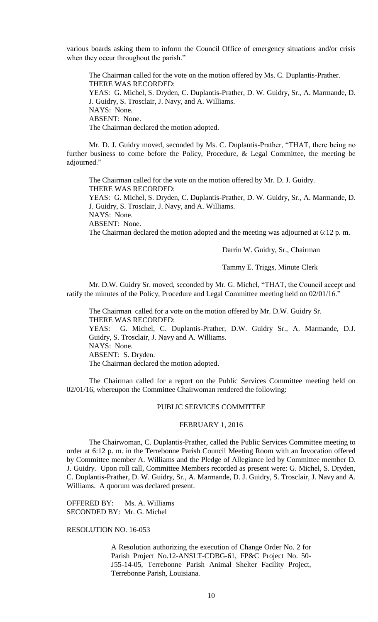various boards asking them to inform the Council Office of emergency situations and/or crisis when they occur throughout the parish."

The Chairman called for the vote on the motion offered by Ms. C. Duplantis-Prather. THERE WAS RECORDED: YEAS: G. Michel, S. Dryden, C. Duplantis-Prather, D. W. Guidry, Sr., A. Marmande, D. J. Guidry, S. Trosclair, J. Navy, and A. Williams. NAYS: None. ABSENT: None. The Chairman declared the motion adopted.

Mr. D. J. Guidry moved, seconded by Ms. C. Duplantis-Prather, "THAT, there being no further business to come before the Policy, Procedure, & Legal Committee, the meeting be adjourned."

The Chairman called for the vote on the motion offered by Mr. D. J. Guidry. THERE WAS RECORDED: YEAS: G. Michel, S. Dryden, C. Duplantis-Prather, D. W. Guidry, Sr., A. Marmande, D. J. Guidry, S. Trosclair, J. Navy, and A. Williams. NAYS: None. ABSENT: None.

The Chairman declared the motion adopted and the meeting was adjourned at 6:12 p. m.

Darrin W. Guidry, Sr., Chairman

Tammy E. Triggs, Minute Clerk

Mr. D.W. Guidry Sr. moved, seconded by Mr. G. Michel, "THAT, the Council accept and ratify the minutes of the Policy, Procedure and Legal Committee meeting held on 02/01/16."

The Chairman called for a vote on the motion offered by Mr. D.W. Guidry Sr. THERE WAS RECORDED: YEAS: G. Michel, C. Duplantis-Prather, D.W. Guidry Sr., A. Marmande, D.J. Guidry, S. Trosclair, J. Navy and A. Williams. NAYS: None. ABSENT: S. Dryden. The Chairman declared the motion adopted.

The Chairman called for a report on the Public Services Committee meeting held on 02/01/16, whereupon the Committee Chairwoman rendered the following:

## PUBLIC SERVICES COMMITTEE

### FEBRUARY 1, 2016

The Chairwoman, C. Duplantis-Prather, called the Public Services Committee meeting to order at 6:12 p. m. in the Terrebonne Parish Council Meeting Room with an Invocation offered by Committee member A. Williams and the Pledge of Allegiance led by Committee member D. J. Guidry. Upon roll call, Committee Members recorded as present were: G. Michel, S. Dryden, C. Duplantis-Prather, D. W. Guidry, Sr., A. Marmande, D. J. Guidry, S. Trosclair, J. Navy and A. Williams. A quorum was declared present.

OFFERED BY: Ms. A. Williams SECONDED BY: Mr. G. Michel

RESOLUTION NO. 16-053

A Resolution authorizing the execution of Change Order No. 2 for Parish Project No.12-ANSLT-CDBG-61, FP&C Project No. 50- J55-14-05, Terrebonne Parish Animal Shelter Facility Project, Terrebonne Parish, Louisiana.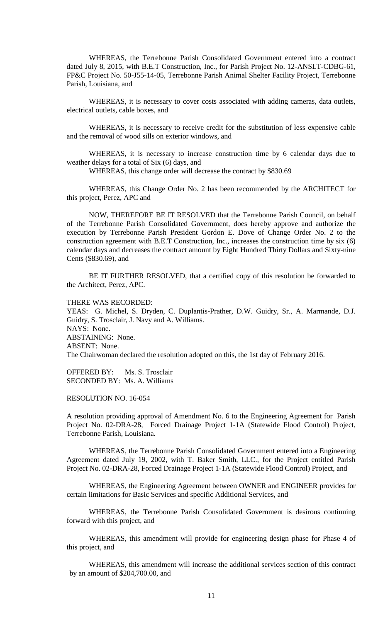WHEREAS, the Terrebonne Parish Consolidated Government entered into a contract dated July 8, 2015, with B.E.T Construction, Inc., for Parish Project No. 12-ANSLT-CDBG-61, FP&C Project No. 50-J55-14-05, Terrebonne Parish Animal Shelter Facility Project, Terrebonne Parish, Louisiana, and

WHEREAS, it is necessary to cover costs associated with adding cameras, data outlets, electrical outlets, cable boxes, and

WHEREAS, it is necessary to receive credit for the substitution of less expensive cable and the removal of wood sills on exterior windows, and

WHEREAS, it is necessary to increase construction time by 6 calendar days due to weather delays for a total of Six (6) days, and

WHEREAS, this change order will decrease the contract by \$830.69

WHEREAS, this Change Order No. 2 has been recommended by the ARCHITECT for this project, Perez, APC and

NOW, THEREFORE BE IT RESOLVED that the Terrebonne Parish Council, on behalf of the Terrebonne Parish Consolidated Government, does hereby approve and authorize the execution by Terrebonne Parish President Gordon E. Dove of Change Order No. 2 to the construction agreement with B.E.T Construction, Inc., increases the construction time by six (6) calendar days and decreases the contract amount by Eight Hundred Thirty Dollars and Sixty-nine Cents (\$830.69), and

BE IT FURTHER RESOLVED, that a certified copy of this resolution be forwarded to the Architect, Perez, APC.

#### THERE WAS RECORDED:

YEAS: G. Michel, S. Dryden, C. Duplantis-Prather, D.W. Guidry, Sr., A. Marmande, D.J. Guidry, S. Trosclair, J. Navy and A. Williams. NAYS: None. ABSTAINING: None. ABSENT: None. The Chairwoman declared the resolution adopted on this, the 1st day of February 2016.

OFFERED BY: Ms. S. Trosclair SECONDED BY: Ms. A. Williams

RESOLUTION NO. 16-054

A resolution providing approval of Amendment No. 6 to the Engineering Agreement for Parish Project No. 02-DRA-28, Forced Drainage Project 1-1A (Statewide Flood Control) Project, Terrebonne Parish, Louisiana.

WHEREAS, the Terrebonne Parish Consolidated Government entered into a Engineering Agreement dated July 19, 2002, with T. Baker Smith, LLC., for the Project entitled Parish Project No. 02-DRA-28, Forced Drainage Project 1-1A (Statewide Flood Control) Project, and

WHEREAS, the Engineering Agreement between OWNER and ENGINEER provides for certain limitations for Basic Services and specific Additional Services, and

WHEREAS, the Terrebonne Parish Consolidated Government is desirous continuing forward with this project, and

WHEREAS, this amendment will provide for engineering design phase for Phase 4 of this project, and

WHEREAS, this amendment will increase the additional services section of this contract by an amount of \$204,700.00, and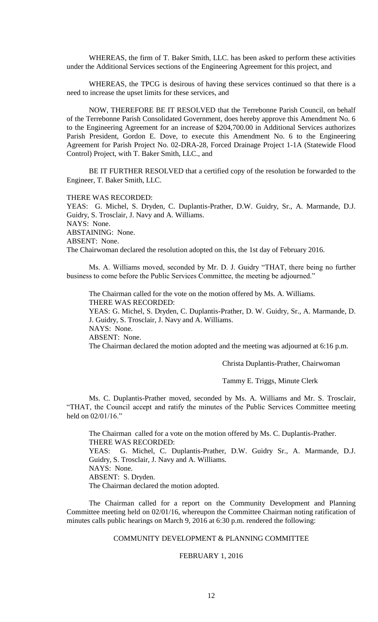WHEREAS, the firm of T. Baker Smith, LLC. has been asked to perform these activities under the Additional Services sections of the Engineering Agreement for this project, and

WHEREAS, the TPCG is desirous of having these services continued so that there is a need to increase the upset limits for these services, and

NOW, THEREFORE BE IT RESOLVED that the Terrebonne Parish Council, on behalf of the Terrebonne Parish Consolidated Government, does hereby approve this Amendment No. 6 to the Engineering Agreement for an increase of \$204,700.00 in Additional Services authorizes Parish President, Gordon E. Dove, to execute this Amendment No. 6 to the Engineering Agreement for Parish Project No. 02-DRA-28, Forced Drainage Project 1-1A (Statewide Flood Control) Project, with T. Baker Smith, LLC., and

BE IT FURTHER RESOLVED that a certified copy of the resolution be forwarded to the Engineer, T. Baker Smith, LLC.

#### THERE WAS RECORDED:

YEAS: G. Michel, S. Dryden, C. Duplantis-Prather, D.W. Guidry, Sr., A. Marmande, D.J. Guidry, S. Trosclair, J. Navy and A. Williams. NAYS: None.

ABSTAINING: None.

ABSENT: None.

The Chairwoman declared the resolution adopted on this, the 1st day of February 2016.

Ms. A. Williams moved, seconded by Mr. D. J. Guidry "THAT, there being no further business to come before the Public Services Committee, the meeting be adjourned."

The Chairman called for the vote on the motion offered by Ms. A. Williams. THERE WAS RECORDED:

YEAS: G. Michel, S. Dryden, C. Duplantis-Prather, D. W. Guidry, Sr., A. Marmande, D. J. Guidry, S. Trosclair, J. Navy and A. Williams.

NAYS: None.

ABSENT: None.

The Chairman declared the motion adopted and the meeting was adjourned at 6:16 p.m.

Christa Duplantis-Prather, Chairwoman

Tammy E. Triggs, Minute Clerk

Ms. C. Duplantis-Prather moved, seconded by Ms. A. Williams and Mr. S. Trosclair, "THAT, the Council accept and ratify the minutes of the Public Services Committee meeting held on  $02/01/16$ ."

The Chairman called for a vote on the motion offered by Ms. C. Duplantis-Prather. THERE WAS RECORDED: YEAS: G. Michel, C. Duplantis-Prather, D.W. Guidry Sr., A. Marmande, D.J. Guidry, S. Trosclair, J. Navy and A. Williams. NAYS: None.

ABSENT: S. Dryden.

The Chairman declared the motion adopted.

The Chairman called for a report on the Community Development and Planning Committee meeting held on 02/01/16, whereupon the Committee Chairman noting ratification of minutes calls public hearings on March 9, 2016 at 6:30 p.m. rendered the following:

# COMMUNITY DEVELOPMENT & PLANNING COMMITTEE

### FEBRUARY 1, 2016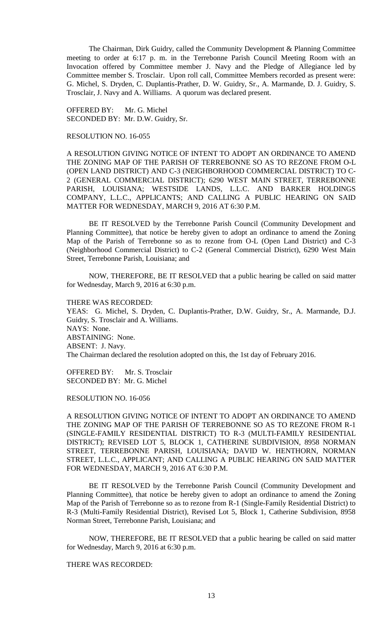The Chairman, Dirk Guidry, called the Community Development & Planning Committee meeting to order at 6:17 p. m. in the Terrebonne Parish Council Meeting Room with an Invocation offered by Committee member J. Navy and the Pledge of Allegiance led by Committee member S. Trosclair. Upon roll call, Committee Members recorded as present were: G. Michel, S. Dryden, C. Duplantis-Prather, D. W. Guidry, Sr., A. Marmande, D. J. Guidry, S. Trosclair, J. Navy and A. Williams. A quorum was declared present.

OFFERED BY: Mr. G. Michel SECONDED BY: Mr. D.W. Guidry, Sr.

#### RESOLUTION NO. 16-055

A RESOLUTION GIVING NOTICE OF INTENT TO ADOPT AN ORDINANCE TO AMEND THE ZONING MAP OF THE PARISH OF TERREBONNE SO AS TO REZONE FROM O-L (OPEN LAND DISTRICT) AND C-3 (NEIGHBORHOOD COMMERCIAL DISTRICT) TO C-2 (GENERAL COMMERCIAL DISTRICT); 6290 WEST MAIN STREET, TERREBONNE PARISH, LOUISIANA; WESTSIDE LANDS, L.L.C. AND BARKER HOLDINGS COMPANY, L.L.C., APPLICANTS; AND CALLING A PUBLIC HEARING ON SAID MATTER FOR WEDNESDAY, MARCH 9, 2016 AT 6:30 P.M.

BE IT RESOLVED by the Terrebonne Parish Council (Community Development and Planning Committee), that notice be hereby given to adopt an ordinance to amend the Zoning Map of the Parish of Terrebonne so as to rezone from O-L (Open Land District) and C-3 (Neighborhood Commercial District) to C-2 (General Commercial District), 6290 West Main Street, Terrebonne Parish, Louisiana; and

NOW, THEREFORE, BE IT RESOLVED that a public hearing be called on said matter for Wednesday, March 9, 2016 at 6:30 p.m.

#### THERE WAS RECORDED:

YEAS: G. Michel, S. Dryden, C. Duplantis-Prather, D.W. Guidry, Sr., A. Marmande, D.J. Guidry, S. Trosclair and A. Williams. NAYS: None. ABSTAINING: None. ABSENT: J. Navy. The Chairman declared the resolution adopted on this, the 1st day of February 2016.

OFFERED BY: Mr. S. Trosclair SECONDED BY: Mr. G. Michel

RESOLUTION NO. 16-056

A RESOLUTION GIVING NOTICE OF INTENT TO ADOPT AN ORDINANCE TO AMEND THE ZONING MAP OF THE PARISH OF TERREBONNE SO AS TO REZONE FROM R-1 (SINGLE-FAMILY RESIDENTIAL DISTRICT) TO R-3 (MULTI-FAMILY RESIDENTIAL DISTRICT); REVISED LOT 5, BLOCK 1, CATHERINE SUBDIVISION, 8958 NORMAN STREET, TERREBONNE PARISH, LOUISIANA; DAVID W. HENTHORN, NORMAN STREET, L.L.C., APPLICANT; AND CALLING A PUBLIC HEARING ON SAID MATTER FOR WEDNESDAY, MARCH 9, 2016 AT 6:30 P.M.

BE IT RESOLVED by the Terrebonne Parish Council (Community Development and Planning Committee), that notice be hereby given to adopt an ordinance to amend the Zoning Map of the Parish of Terrebonne so as to rezone from R-1 (Single-Family Residential District) to R-3 (Multi-Family Residential District), Revised Lot 5, Block 1, Catherine Subdivision, 8958 Norman Street, Terrebonne Parish, Louisiana; and

NOW, THEREFORE, BE IT RESOLVED that a public hearing be called on said matter for Wednesday, March 9, 2016 at 6:30 p.m.

THERE WAS RECORDED: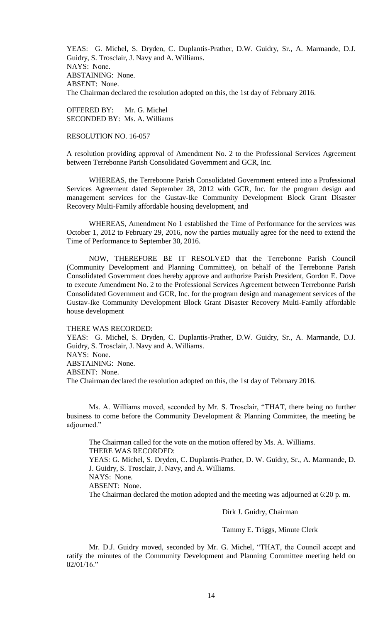YEAS: G. Michel, S. Dryden, C. Duplantis-Prather, D.W. Guidry, Sr., A. Marmande, D.J. Guidry, S. Trosclair, J. Navy and A. Williams. NAYS: None. ABSTAINING: None. ABSENT: None. The Chairman declared the resolution adopted on this, the 1st day of February 2016.

OFFERED BY: Mr. G. Michel SECONDED BY: Ms. A. Williams

### RESOLUTION NO. 16-057

A resolution providing approval of Amendment No. 2 to the Professional Services Agreement between Terrebonne Parish Consolidated Government and GCR, Inc.

WHEREAS, the Terrebonne Parish Consolidated Government entered into a Professional Services Agreement dated September 28, 2012 with GCR, Inc. for the program design and management services for the Gustav-Ike Community Development Block Grant Disaster Recovery Multi-Family affordable housing development, and

WHEREAS, Amendment No 1 established the Time of Performance for the services was October 1, 2012 to February 29, 2016, now the parties mutually agree for the need to extend the Time of Performance to September 30, 2016.

NOW, THEREFORE BE IT RESOLVED that the Terrebonne Parish Council (Community Development and Planning Committee), on behalf of the Terrebonne Parish Consolidated Government does hereby approve and authorize Parish President, Gordon E. Dove to execute Amendment No. 2 to the Professional Services Agreement between Terrebonne Parish Consolidated Government and GCR, Inc. for the program design and management services of the Gustav-Ike Community Development Block Grant Disaster Recovery Multi-Family affordable house development

### THERE WAS RECORDED:

YEAS: G. Michel, S. Dryden, C. Duplantis-Prather, D.W. Guidry, Sr., A. Marmande, D.J. Guidry, S. Trosclair, J. Navy and A. Williams. NAYS: None. ABSTAINING: None. ABSENT: None. The Chairman declared the resolution adopted on this, the 1st day of February 2016.

Ms. A. Williams moved, seconded by Mr. S. Trosclair, "THAT, there being no further business to come before the Community Development & Planning Committee, the meeting be adjourned."

The Chairman called for the vote on the motion offered by Ms. A. Williams. THERE WAS RECORDED: YEAS: G. Michel, S. Dryden, C. Duplantis-Prather, D. W. Guidry, Sr., A. Marmande, D. J. Guidry, S. Trosclair, J. Navy, and A. Williams. NAYS: None. ABSENT: None. The Chairman declared the motion adopted and the meeting was adjourned at 6:20 p. m.

Dirk J. Guidry, Chairman

## Tammy E. Triggs, Minute Clerk

Mr. D.J. Guidry moved, seconded by Mr. G. Michel, "THAT, the Council accept and ratify the minutes of the Community Development and Planning Committee meeting held on  $02/01/16$ ."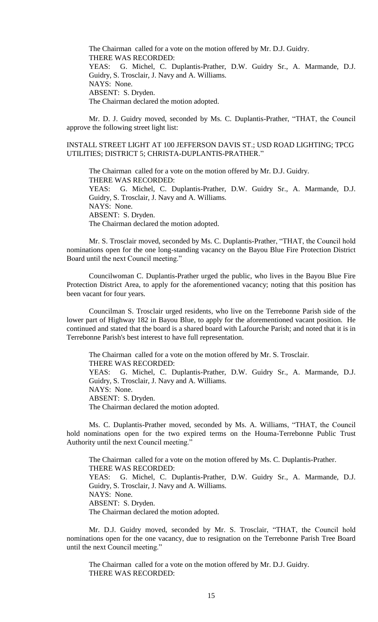The Chairman called for a vote on the motion offered by Mr. D.J. Guidry. THERE WAS RECORDED: YEAS: G. Michel, C. Duplantis-Prather, D.W. Guidry Sr., A. Marmande, D.J. Guidry, S. Trosclair, J. Navy and A. Williams. NAYS: None. ABSENT: S. Dryden. The Chairman declared the motion adopted.

Mr. D. J. Guidry moved, seconded by Ms. C. Duplantis-Prather, "THAT, the Council approve the following street light list:

INSTALL STREET LIGHT AT 100 JEFFERSON DAVIS ST.; USD ROAD LIGHTING; TPCG UTILITIES; DISTRICT 5; CHRISTA-DUPLANTIS-PRATHER."

The Chairman called for a vote on the motion offered by Mr. D.J. Guidry. THERE WAS RECORDED: YEAS: G. Michel, C. Duplantis-Prather, D.W. Guidry Sr., A. Marmande, D.J. Guidry, S. Trosclair, J. Navy and A. Williams. NAYS: None. ABSENT: S. Dryden. The Chairman declared the motion adopted.

Mr. S. Trosclair moved, seconded by Ms. C. Duplantis-Prather, "THAT, the Council hold nominations open for the one long-standing vacancy on the Bayou Blue Fire Protection District Board until the next Council meeting."

Councilwoman C. Duplantis-Prather urged the public, who lives in the Bayou Blue Fire Protection District Area, to apply for the aforementioned vacancy; noting that this position has been vacant for four years.

Councilman S. Trosclair urged residents, who live on the Terrebonne Parish side of the lower part of Highway 182 in Bayou Blue, to apply for the aforementioned vacant position. He continued and stated that the board is a shared board with Lafourche Parish; and noted that it is in Terrebonne Parish's best interest to have full representation.

The Chairman called for a vote on the motion offered by Mr. S. Trosclair. THERE WAS RECORDED: YEAS: G. Michel, C. Duplantis-Prather, D.W. Guidry Sr., A. Marmande, D.J. Guidry, S. Trosclair, J. Navy and A. Williams. NAYS: None. ABSENT: S. Dryden. The Chairman declared the motion adopted.

Ms. C. Duplantis-Prather moved, seconded by Ms. A. Williams, "THAT, the Council hold nominations open for the two expired terms on the Houma-Terrebonne Public Trust Authority until the next Council meeting."

The Chairman called for a vote on the motion offered by Ms. C. Duplantis-Prather. THERE WAS RECORDED: YEAS: G. Michel, C. Duplantis-Prather, D.W. Guidry Sr., A. Marmande, D.J. Guidry, S. Trosclair, J. Navy and A. Williams. NAYS: None. ABSENT: S. Dryden. The Chairman declared the motion adopted.

Mr. D.J. Guidry moved, seconded by Mr. S. Trosclair, "THAT, the Council hold nominations open for the one vacancy, due to resignation on the Terrebonne Parish Tree Board until the next Council meeting."

The Chairman called for a vote on the motion offered by Mr. D.J. Guidry. THERE WAS RECORDED: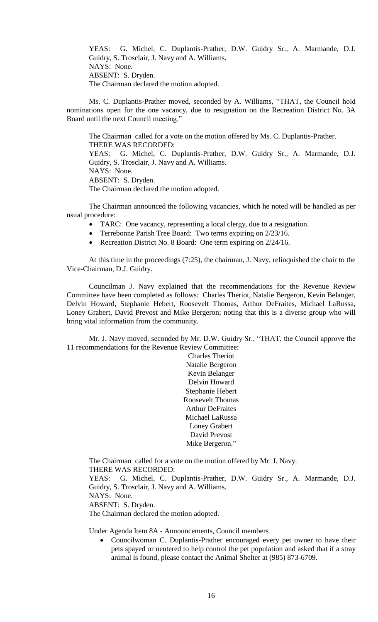YEAS: G. Michel, C. Duplantis-Prather, D.W. Guidry Sr., A. Marmande, D.J. Guidry, S. Trosclair, J. Navy and A. Williams. NAYS: None. ABSENT: S. Dryden. The Chairman declared the motion adopted.

Ms. C. Duplantis-Prather moved, seconded by A. Williams, "THAT, the Council hold nominations open for the one vacancy, due to resignation on the Recreation District No. 3A Board until the next Council meeting."

The Chairman called for a vote on the motion offered by Ms. C. Duplantis-Prather. THERE WAS RECORDED: YEAS: G. Michel, C. Duplantis-Prather, D.W. Guidry Sr., A. Marmande, D.J. Guidry, S. Trosclair, J. Navy and A. Williams. NAYS: None. ABSENT: S. Dryden. The Chairman declared the motion adopted.

The Chairman announced the following vacancies, which he noted will be handled as per usual procedure:

- TARC: One vacancy, representing a local clergy, due to a resignation.
- Terrebonne Parish Tree Board: Two terms expiring on 2/23/16.
- Recreation District No. 8 Board: One term expiring on  $2/24/16$ .

At this time in the proceedings (7:25), the chairman, J. Navy, relinquished the chair to the Vice-Chairman, D.J. Guidry.

Councilman J. Navy explained that the recommendations for the Revenue Review Committee have been completed as follows: Charles Theriot, Natalie Bergeron, Kevin Belanger, Delvin Howard, Stephanie Hebert, Roosevelt Thomas, Arthur DeFraites, Michael LaRussa, Loney Grabert, David Prevost and Mike Bergeron; noting that this is a diverse group who will bring vital information from the community.

Mr. J. Navy moved, seconded by Mr. D.W. Guidry Sr., "THAT, the Council approve the 11 recommendations for the Revenue Review Committee:

> Charles Theriot Natalie Bergeron Kevin Belanger Delvin Howard Stephanie Hebert Roosevelt Thomas Arthur DeFraites Michael LaRussa Loney Grabert David Prevost Mike Bergeron."

The Chairman called for a vote on the motion offered by Mr. J. Navy. THERE WAS RECORDED:

YEAS: G. Michel, C. Duplantis-Prather, D.W. Guidry Sr., A. Marmande, D.J. Guidry, S. Trosclair, J. Navy and A. Williams.

NAYS: None.

ABSENT: S. Dryden.

The Chairman declared the motion adopted.

Under Agenda Item 8A - Announcements, Council members

• Councilwoman C. Duplantis-Prather encouraged every pet owner to have their pets spayed or neutered to help control the pet population and asked that if a stray animal is found, please contact the Animal Shelter at (985) 873-6709.